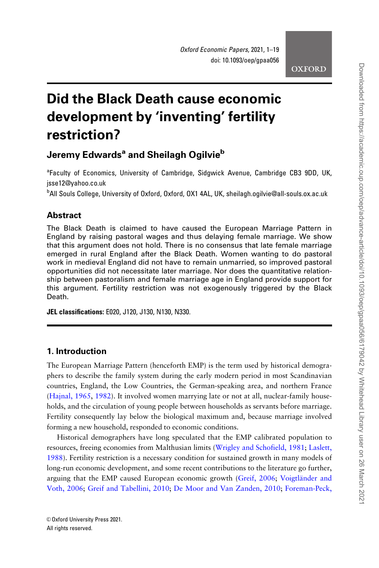# Did the Black Death cause economic development by 'inventing' fertility restriction?

# Jeremy Edwards<sup>a</sup> and Sheilagh Ogilvie<sup>b</sup>

<sup>a</sup>Faculty of Economics, University of Cambridge, Sidgwick Avenue, Cambridge CB3 9DD, UK, jsse12@yahoo.co.uk

b All Souls College, University of Oxford, Oxford, OX1 4AL, UK, sheilagh.ogilvie@all-souls.ox.ac.uk

# **Abstract**

The Black Death is claimed to have caused the European Marriage Pattern in England by raising pastoral wages and thus delaying female marriage. We show that this argument does not hold. There is no consensus that late female marriage emerged in rural England after the Black Death. Women wanting to do pastoral work in medieval England did not have to remain unmarried, so improved pastoral opportunities did not necessitate later marriage. Nor does the quantitative relationship between pastoralism and female marriage age in England provide support for this argument. Fertility restriction was not exogenously triggered by the Black Death.

JEL classifications: E020, J120, J130, N130, N330.

# 1. Introduction

The European Marriage Pattern (henceforth EMP) is the term used by historical demographers to describe the family system during the early modern period in most Scandinavian countries, England, the Low Countries, the German-speaking area, and northern France [\(Hajnal, 1965](#page-17-0), [1982\)](#page-17-0). It involved women marrying late or not at all, nuclear-family households, and the circulation of young people between households as servants before marriage. Fertility consequently lay below the biological maximum and, because marriage involved forming a new household, responded to economic conditions.

Historical demographers have long speculated that the EMP calibrated population to resources, freeing economies from Malthusian limits ([Wrigley and Schofield, 1981;](#page-18-0) [Laslett,](#page-17-0) [1988](#page-17-0)). Fertility restriction is a necessary condition for sustained growth in many models of long-run economic development, and some recent contributions to the literature go further, arguing that the EMP caused European economic growth ([Greif, 2006](#page-16-0); Voigtländer and [Voth, 2006](#page-18-0); [Greif and Tabellini, 2010;](#page-17-0) [De Moor and Van Zanden, 2010;](#page-16-0) [Foreman-Peck,](#page-16-0)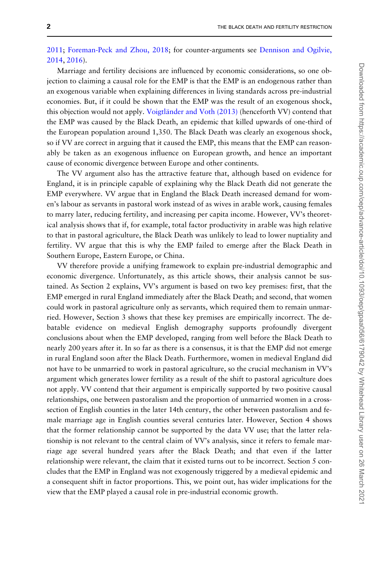[2011](#page-16-0); [Foreman-Peck and Zhou, 2018;](#page-16-0) for counter-arguments see [Dennison and Ogilvie,](#page-16-0) [2014](#page-16-0), [2016\)](#page-16-0).

Marriage and fertility decisions are influenced by economic considerations, so one objection to claiming a causal role for the EMP is that the EMP is an endogenous rather than an exogenous variable when explaining differences in living standards across pre-industrial economies. But, if it could be shown that the EMP was the result of an exogenous shock, this objection would not apply. Voigtländer and Voth (2013) (henceforth VV) contend that the EMP was caused by the Black Death, an epidemic that killed upwards of one-third of the European population around 1,350. The Black Death was clearly an exogenous shock, so if VV are correct in arguing that it caused the EMP, this means that the EMP can reasonably be taken as an exogenous influence on European growth, and hence an important cause of economic divergence between Europe and other continents.

The VV argument also has the attractive feature that, although based on evidence for England, it is in principle capable of explaining why the Black Death did not generate the EMP everywhere. VV argue that in England the Black Death increased demand for women's labour as servants in pastoral work instead of as wives in arable work, causing females to marry later, reducing fertility, and increasing per capita income. However, VV's theoretical analysis shows that if, for example, total factor productivity in arable was high relative to that in pastoral agriculture, the Black Death was unlikely to lead to lower nuptiality and fertility. VV argue that this is why the EMP failed to emerge after the Black Death in Southern Europe, Eastern Europe, or China.

VV therefore provide a unifying framework to explain pre-industrial demographic and economic divergence. Unfortunately, as this article shows, their analysis cannot be sustained. As Section 2 explains, VV's argument is based on two key premises: first, that the EMP emerged in rural England immediately after the Black Death; and second, that women could work in pastoral agriculture only as servants, which required them to remain unmarried. However, Section 3 shows that these key premises are empirically incorrect. The debatable evidence on medieval English demography supports profoundly divergent conclusions about when the EMP developed, ranging from well before the Black Death to nearly 200 years after it. In so far as there is a consensus, it is that the EMP did not emerge in rural England soon after the Black Death. Furthermore, women in medieval England did not have to be unmarried to work in pastoral agriculture, so the crucial mechanism in VV's argument which generates lower fertility as a result of the shift to pastoral agriculture does not apply. VV contend that their argument is empirically supported by two positive causal relationships, one between pastoralism and the proportion of unmarried women in a crosssection of English counties in the later 14th century, the other between pastoralism and female marriage age in English counties several centuries later. However, Section 4 shows that the former relationship cannot be supported by the data VV use; that the latter relationship is not relevant to the central claim of VV's analysis, since it refers to female marriage age several hundred years after the Black Death; and that even if the latter relationship were relevant, the claim that it existed turns out to be incorrect. Section 5 concludes that the EMP in England was not exogenously triggered by a medieval epidemic and a consequent shift in factor proportions. This, we point out, has wider implications for the view that the EMP played a causal role in pre-industrial economic growth.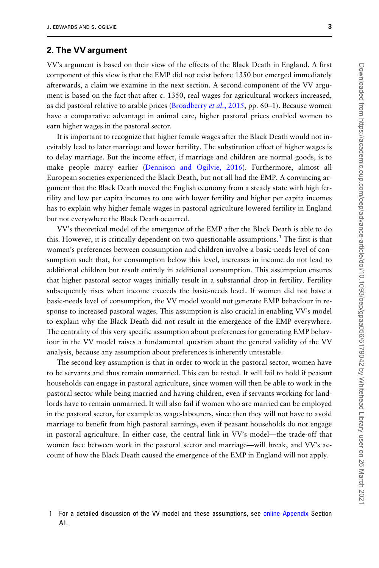# 2. The VV argument

VV's argument is based on their view of the effects of the Black Death in England. A first component of this view is that the EMP did not exist before 1350 but emerged immediately afterwards, a claim we examine in the next section. A second component of the VV argument is based on the fact that after c. 1350, real wages for agricultural workers increased, as did pastoral relative to arable prices [\(Broadberry](#page-16-0) *et al.*, 2015, pp. 60–1). Because women have a comparative advantage in animal care, higher pastoral prices enabled women to earn higher wages in the pastoral sector.

It is important to recognize that higher female wages after the Black Death would not inevitably lead to later marriage and lower fertility. The substitution effect of higher wages is to delay marriage. But the income effect, if marriage and children are normal goods, is to make people marry earlier ([Dennison and Ogilvie, 2016](#page-16-0)). Furthermore, almost all European societies experienced the Black Death, but not all had the EMP. A convincing argument that the Black Death moved the English economy from a steady state with high fertility and low per capita incomes to one with lower fertility and higher per capita incomes has to explain why higher female wages in pastoral agriculture lowered fertility in England but not everywhere the Black Death occurred.

VV's theoretical model of the emergence of the EMP after the Black Death is able to do this. However, it is critically dependent on two questionable assumptions.<sup>1</sup> The first is that women's preferences between consumption and children involve a basic-needs level of consumption such that, for consumption below this level, increases in income do not lead to additional children but result entirely in additional consumption. This assumption ensures that higher pastoral sector wages initially result in a substantial drop in fertility. Fertility subsequently rises when income exceeds the basic-needs level. If women did not have a basic-needs level of consumption, the VV model would not generate EMP behaviour in response to increased pastoral wages. This assumption is also crucial in enabling VV's model to explain why the Black Death did not result in the emergence of the EMP everywhere. The centrality of this very specific assumption about preferences for generating EMP behaviour in the VV model raises a fundamental question about the general validity of the VV analysis, because any assumption about preferences is inherently untestable.

The second key assumption is that in order to work in the pastoral sector, women have to be servants and thus remain unmarried. This can be tested. It will fail to hold if peasant households can engage in pastoral agriculture, since women will then be able to work in the pastoral sector while being married and having children, even if servants working for landlords have to remain unmarried. It will also fail if women who are married can be employed in the pastoral sector, for example as wage-labourers, since then they will not have to avoid marriage to benefit from high pastoral earnings, even if peasant households do not engage in pastoral agriculture. In either case, the central link in VV's model—the trade-off that women face between work in the pastoral sector and marriage—will break, and VV's account of how the Black Death caused the emergence of the EMP in England will not apply.

<sup>1</sup> For a detailed discussion of the VV model and these assumptions, see [online Appendix](https://academic.oup.com/oep/article-lookup/doi/10.1093/oep/gpaa056#supplementary-data) Section A1.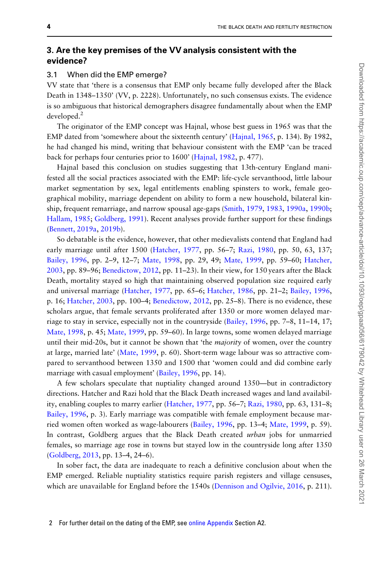# 3. Are the key premises of the VV analysis consistent with the evidence?

#### 3.1 When did the EMP emerge?

VV state that 'there is a consensus that EMP only became fully developed after the Black Death in 1348–1350' (VV, p. 2228). Unfortunately, no such consensus exists. The evidence is so ambiguous that historical demographers disagree fundamentally about when the EMP developed.<sup>2</sup>

The originator of the EMP concept was Hajnal, whose best guess in 1965 was that the EMP dated from 'somewhere about the sixteenth century' ([Hajnal, 1965](#page-17-0), p. 134). By 1982, he had changed his mind, writing that behaviour consistent with the EMP 'can be traced back for perhaps four centuries prior to 1600' [\(Hajnal, 1982,](#page-17-0) p. 477).

Hajnal based this conclusion on studies suggesting that 13th-century England manifested all the social practices associated with the EMP: life-cycle servanthood, little labour market segmentation by sex, legal entitlements enabling spinsters to work, female geographical mobility, marriage dependent on ability to form a new household, bilateral kinship, frequent remarriage, and narrow spousal age-gaps ([Smith, 1979](#page-18-0), [1983,](#page-18-0) [1990a](#page-18-0), [1990b](#page-18-0); [Hallam, 1985;](#page-17-0) [Goldberg, 1991](#page-16-0)). Recent analyses provide further support for these findings [\(Bennett, 2019a,](#page-15-0) [2019b\)](#page-16-0).

So debatable is the evidence, however, that other medievalists contend that England had early marriage until after 1500 [\(Hatcher, 1977,](#page-17-0) pp. 56–7; [Razi, 1980](#page-18-0), pp. 50, 63, 137; [Bailey, 1996,](#page-15-0) pp. 2–9, 12–7; [Mate, 1998](#page-17-0), pp. 29, 49; [Mate, 1999,](#page-17-0) pp. 59–60; [Hatcher,](#page-17-0) [2003](#page-17-0), pp. 89–96; [Benedictow, 2012](#page-15-0), pp. 11–23). In their view, for 150 years after the Black Death, mortality stayed so high that maintaining observed population size required early and universal marriage [\(Hatcher, 1977,](#page-17-0) pp. 65–6; [Hatcher, 1986,](#page-17-0) pp. 21–2; [Bailey, 1996](#page-15-0), p. 16; [Hatcher, 2003,](#page-17-0) pp. 100–4; [Benedictow, 2012,](#page-15-0) pp. 25–8). There is no evidence, these scholars argue, that female servants proliferated after 1350 or more women delayed marriage to stay in service, especially not in the countryside [\(Bailey, 1996](#page-15-0), pp. 7–8, 11–14, 17; [Mate, 1998](#page-17-0), p. 45; [Mate, 1999](#page-17-0), pp. 59–60). In large towns, some women delayed marriage until their mid-20s, but it cannot be shown that 'the *majority* of women, over the country at large, married late' ([Mate, 1999,](#page-17-0) p. 60). Short-term wage labour was so attractive compared to servanthood between 1350 and 1500 that 'women could and did combine early marriage with casual employment' [\(Bailey, 1996](#page-15-0), pp. 14).

A few scholars speculate that nuptiality changed around 1350—but in contradictory directions. Hatcher and Razi hold that the Black Death increased wages and land availability, enabling couples to marry earlier [\(Hatcher, 1977,](#page-17-0) pp. 56–7; [Razi, 1980](#page-18-0), pp. 63, 131–8; [Bailey, 1996,](#page-15-0) p. 3). Early marriage was compatible with female employment because married women often worked as wage-labourers [\(Bailey, 1996,](#page-15-0) pp. 13–4; [Mate, 1999](#page-17-0), p. 59). In contrast, Goldberg argues that the Black Death created *urban* jobs for unmarried females, so marriage age rose in towns but stayed low in the countryside long after 1350 [\(Goldberg, 2013](#page-16-0), pp. 13–4, 24–6).

In sober fact, the data are inadequate to reach a definitive conclusion about when the EMP emerged. Reliable nuptiality statistics require parish registers and village censuses, which are unavailable for England before the 1540s [\(Dennison and Ogilvie, 2016,](#page-16-0) p. 211).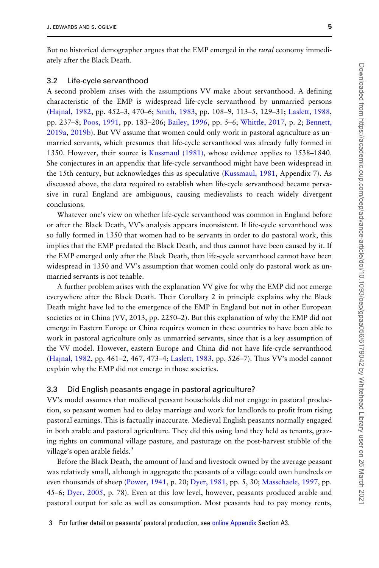But no historical demographer argues that the EMP emerged in the *rural* economy immediately after the Black Death.

#### 3.2 Life-cycle servanthood

A second problem arises with the assumptions VV make about servanthood. A defining characteristic of the EMP is widespread life-cycle servanthood by unmarried persons [\(Hajnal, 1982](#page-17-0), pp. 452–3, 470–6; [Smith, 1983,](#page-18-0) pp. 108–9, 113–5, 129–31; [Laslett, 1988](#page-17-0), pp. 237–8; [Poos, 1991,](#page-17-0) pp. 183–206; [Bailey, 1996](#page-15-0), pp. 5–6; [Whittle, 2017](#page-18-0), p. 2; [Bennett,](#page-15-0) [2019a,](#page-15-0) [2019b\)](#page-16-0). But VV assume that women could only work in pastoral agriculture as unmarried servants, which presumes that life-cycle servanthood was already fully formed in 1350. However, their source is [Kussmaul \(1981\),](#page-17-0) whose evidence applies to 1538–1840. She conjectures in an appendix that life-cycle servanthood might have been widespread in the 15th century, but acknowledges this as speculative [\(Kussmaul, 1981,](#page-17-0) Appendix 7). As discussed above, the data required to establish when life-cycle servanthood became pervasive in rural England are ambiguous, causing medievalists to reach widely divergent conclusions.

Whatever one's view on whether life-cycle servanthood was common in England before or after the Black Death, VV's analysis appears inconsistent. If life-cycle servanthood was so fully formed in 1350 that women had to be servants in order to do pastoral work, this implies that the EMP predated the Black Death, and thus cannot have been caused by it. If the EMP emerged only after the Black Death, then life-cycle servanthood cannot have been widespread in 1350 and VV's assumption that women could only do pastoral work as unmarried servants is not tenable.

A further problem arises with the explanation VV give for why the EMP did not emerge everywhere after the Black Death. Their Corollary 2 in principle explains why the Black Death might have led to the emergence of the EMP in England but not in other European societies or in China (VV, 2013, pp. 2250–2). But this explanation of why the EMP did not emerge in Eastern Europe or China requires women in these countries to have been able to work in pastoral agriculture only as unmarried servants, since that is a key assumption of the VV model. However, eastern Europe and China did not have life-cycle servanthood [\(Hajnal, 1982](#page-17-0), pp. 461–2, 467, 473–4; [Laslett, 1983](#page-17-0), pp. 526–7). Thus VV's model cannot explain why the EMP did not emerge in those societies.

#### 3.3 Did English peasants engage in pastoral agriculture?

VV's model assumes that medieval peasant households did not engage in pastoral production, so peasant women had to delay marriage and work for landlords to profit from rising pastoral earnings. This is factually inaccurate. Medieval English peasants normally engaged in both arable and pastoral agriculture. They did this using land they held as tenants, grazing rights on communal village pasture, and pasturage on the post-harvest stubble of the village's open arable fields.<sup>3</sup>

Before the Black Death, the amount of land and livestock owned by the average peasant was relatively small, although in aggregate the peasants of a village could own hundreds or even thousands of sheep ([Power, 1941](#page-18-0), p. 20; [Dyer, 1981,](#page-16-0) pp. 5, 30; [Masschaele, 1997](#page-17-0), pp. 45–6; [Dyer, 2005,](#page-16-0) p. 78). Even at this low level, however, peasants produced arable and pastoral output for sale as well as consumption. Most peasants had to pay money rents,

<sup>3</sup> For further detail on peasants' pastoral production, see [online Appendix](https://academic.oup.com/oep/article-lookup/doi/10.1093/oep/gpaa056#supplementary-data) Section A3.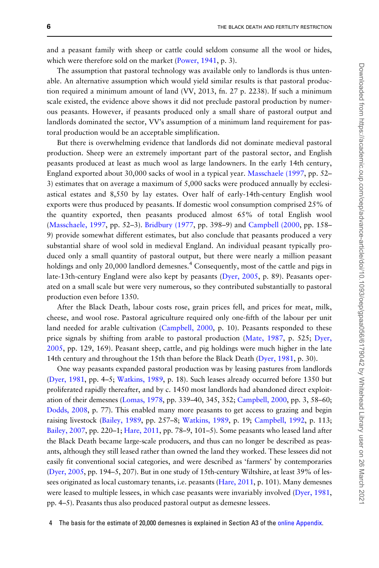and a peasant family with sheep or cattle could seldom consume all the wool or hides, which were therefore sold on the market ([Power, 1941](#page-18-0), p. 3).

The assumption that pastoral technology was available only to landlords is thus untenable. An alternative assumption which would yield similar results is that pastoral production required a minimum amount of land (VV, 2013, fn. 27 p. 2238). If such a minimum scale existed, the evidence above shows it did not preclude pastoral production by numerous peasants. However, if peasants produced only a small share of pastoral output and landlords dominated the sector, VV's assumption of a minimum land requirement for pastoral production would be an acceptable simplification.

But there is overwhelming evidence that landlords did not dominate medieval pastoral production. Sheep were an extremely important part of the pastoral sector, and English peasants produced at least as much wool as large landowners. In the early 14th century, England exported about 30,000 sacks of wool in a typical year. [Masschaele \(1997](#page-17-0), pp. 52– 3) estimates that on average a maximum of 5,000 sacks were produced annually by ecclesiastical estates and 8,550 by lay estates. Over half of early-14th-century English wool exports were thus produced by peasants. If domestic wool consumption comprised 25% of the quantity exported, then peasants produced almost 65% of total English wool [\(Masschaele, 1997](#page-17-0), pp. 52–3). [Bridbury \(1977,](#page-16-0) pp. 398–9) and [Campbell \(2000,](#page-16-0) pp. 158– 9) provide somewhat different estimates, but also conclude that peasants produced a very substantial share of wool sold in medieval England. An individual peasant typically produced only a small quantity of pastoral output, but there were nearly a million peasant holdings and only 20,000 landlord demesnes.<sup>4</sup> Consequently, most of the cattle and pigs in late-13th-century England were also kept by peasants [\(Dyer, 2005](#page-16-0), p. 89). Peasants operated on a small scale but were very numerous, so they contributed substantially to pastoral production even before 1350.

After the Black Death, labour costs rose, grain prices fell, and prices for meat, milk, cheese, and wool rose. Pastoral agriculture required only one-fifth of the labour per unit land needed for arable cultivation ([Campbell, 2000,](#page-16-0) p. 10). Peasants responded to these price signals by shifting from arable to pastoral production ([Mate, 1987,](#page-17-0) p. 525; [Dyer,](#page-16-0) [2005](#page-16-0), pp. 129, 169). Peasant sheep, cattle, and pig holdings were much higher in the late 14th century and throughout the 15th than before the Black Death ([Dyer, 1981,](#page-16-0) p. 30).

One way peasants expanded pastoral production was by leasing pastures from landlords [\(Dyer, 1981,](#page-16-0) pp. 4–5; [Watkins, 1989](#page-18-0), p. 18). Such leases already occurred before 1350 but proliferated rapidly thereafter, and by c. 1450 most landlords had abandoned direct exploitation of their demesnes ([Lomas, 1978,](#page-17-0) pp. 339–40, 345, 352; [Campbell, 2000,](#page-16-0) pp. 3, 58–60; [Dodds, 2008](#page-16-0), p. 77). This enabled many more peasants to get access to grazing and begin raising livestock [\(Bailey, 1989,](#page-15-0) pp. 257–8; [Watkins, 1989,](#page-18-0) p. 19; [Campbell, 1992,](#page-16-0) p. 113; [Bailey, 2007](#page-15-0), pp. 220–1; [Hare, 2011,](#page-17-0) pp. 78–9, 101–5). Some peasants who leased land after the Black Death became large-scale producers, and thus can no longer be described as peasants, although they still leased rather than owned the land they worked. These lessees did not easily fit conventional social categories, and were described as 'farmers' by contemporaries [\(Dyer, 2005,](#page-16-0) pp. 194–5, 207). But in one study of 15th-century Wiltshire, at least 39% of lessees originated as local customary tenants, i.e. peasants [\(Hare, 2011](#page-17-0), p. 101). Many demesnes were leased to multiple lessees, in which case peasants were invariably involved ([Dyer, 1981](#page-16-0), pp. 4–5). Peasants thus also produced pastoral output as demesne lessees.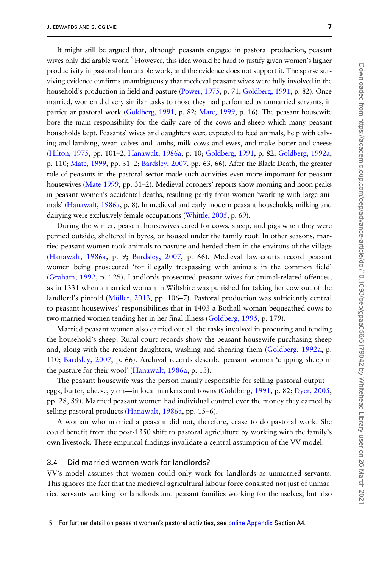It might still be argued that, although peasants engaged in pastoral production, peasant wives only did arable work.<sup>5</sup> However, this idea would be hard to justify given women's higher productivity in pastoral than arable work, and the evidence does not support it. The sparse surviving evidence confirms unambiguously that medieval peasant wives were fully involved in the household's production in field and pasture ([Power, 1975,](#page-18-0) p. 71; [Goldberg, 1991](#page-16-0), p. 82). Once married, women did very similar tasks to those they had performed as unmarried servants, in particular pastoral work [\(Goldberg, 1991](#page-16-0), p. 82; [Mate, 1999](#page-17-0), p. 16). The peasant housewife bore the main responsibility for the daily care of the cows and sheep which many peasant households kept. Peasants' wives and daughters were expected to feed animals, help with calving and lambing, wean calves and lambs, milk cows and ewes, and make butter and cheese [\(Hilton, 1975](#page-17-0), pp. 101–2; [Hanawalt, 1986a,](#page-17-0) p. 10; [Goldberg, 1991,](#page-16-0) p. 82; [Goldberg, 1992a](#page-16-0), p. 110; [Mate, 1999](#page-17-0), pp. 31–2; [Bardsley, 2007](#page-15-0), pp. 63, 66). After the Black Death, the greater role of peasants in the pastoral sector made such activities even more important for peasant housewives [\(Mate 1999,](#page-17-0) pp. 31–2). Medieval coroners' reports show morning and noon peaks in peasant women's accidental deaths, resulting partly from women 'working with large animals' [\(Hanawalt, 1986a,](#page-17-0) p. 8). In medieval and early modern peasant households, milking and dairying were exclusively female occupations ([Whittle, 2005](#page-18-0), p. 69).

During the winter, peasant housewives cared for cows, sheep, and pigs when they were penned outside, sheltered in byres, or housed under the family roof. In other seasons, married peasant women took animals to pasture and herded them in the environs of the village [\(Hanawalt, 1986a,](#page-17-0) p. 9; [Bardsley, 2007](#page-15-0), p. 66). Medieval law-courts record peasant women being prosecuted 'for illegally trespassing with animals in the common field' [\(Graham, 1992,](#page-16-0) p. 129). Landlords prosecuted peasant wives for animal-related offences, as in 1331 when a married woman in Wiltshire was punished for taking her cow out of the landlord's pinfold (Müller, 2013, pp. 106–7). Pastoral production was sufficiently central to peasant housewives' responsibilities that in 1403 a Bothall woman bequeathed cows to two married women tending her in her final illness [\(Goldberg, 1995,](#page-16-0) p. 179).

Married peasant women also carried out all the tasks involved in procuring and tending the household's sheep. Rural court records show the peasant housewife purchasing sheep and, along with the resident daughters, washing and shearing them [\(Goldberg, 1992a](#page-16-0), p. 110; [Bardsley, 2007,](#page-15-0) p. 66). Archival records describe peasant women 'clipping sheep in the pasture for their wool' ([Hanawalt, 1986a,](#page-17-0) p. 13).

The peasant housewife was the person mainly responsible for selling pastoral output eggs, butter, cheese, yarn—in local markets and towns [\(Goldberg, 1991,](#page-16-0) p. 82; [Dyer, 2005](#page-16-0), pp. 28, 89). Married peasant women had individual control over the money they earned by selling pastoral products ([Hanawalt, 1986a,](#page-17-0) pp. 15–6).

A woman who married a peasant did not, therefore, cease to do pastoral work. She could benefit from the post-1350 shift to pastoral agriculture by working with the family's own livestock. These empirical findings invalidate a central assumption of the VV model.

#### 3.4 Did married women work for landlords?

VV's model assumes that women could only work for landlords as unmarried servants. This ignores the fact that the medieval agricultural labour force consisted not just of unmarried servants working for landlords and peasant families working for themselves, but also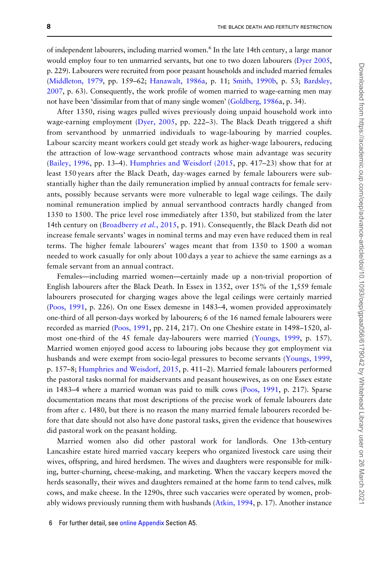of independent labourers, including married women.<sup>6</sup> In the late 14th century, a large manor would employ four to ten unmarried servants, but one to two dozen labourers [\(Dyer 2005](#page-16-0), p. 229). Labourers were recruited from poor peasant households and included married females [\(Middleton, 1979,](#page-17-0) pp. 159–62; [Hanawalt, 1986a,](#page-17-0) p. 11; [Smith, 1990b](#page-18-0), p. 53; [Bardsley,](#page-15-0) [2007](#page-15-0), p. 63). Consequently, the work profile of women married to wage-earning men may not have been 'dissimilar from that of many single women' [\(Goldberg, 1986a](#page-16-0), p. 34).

After 1350, rising wages pulled wives previously doing unpaid household work into wage-earning employment ([Dyer, 2005](#page-16-0), pp. 222–3). The Black Death triggered a shift from servanthood by unmarried individuals to wage-labouring by married couples. Labour scarcity meant workers could get steady work as higher-wage labourers, reducing the attraction of low-wage servanthood contracts whose main advantage was security ([Bailey, 1996,](#page-15-0) pp. 13–4). [Humphries and Weisdorf \(2015](#page-17-0), pp. 417–23) show that for at least 150 years after the Black Death, day-wages earned by female labourers were substantially higher than the daily remuneration implied by annual contracts for female servants, possibly because servants were more vulnerable to legal wage ceilings. The daily nominal remuneration implied by annual servanthood contracts hardly changed from 1350 to 1500. The price level rose immediately after 1350, but stabilized from the later 14th century on [\(Broadberry](#page-16-0) et al., 2015, p. 191). Consequently, the Black Death did not increase female servants' wages in nominal terms and may even have reduced them in real terms. The higher female labourers' wages meant that from 1350 to 1500 a woman needed to work casually for only about 100 days a year to achieve the same earnings as a female servant from an annual contract.

Females—including married women—certainly made up a non-trivial proportion of English labourers after the Black Death. In Essex in 1352, over 15% of the 1,559 female labourers prosecuted for charging wages above the legal ceilings were certainly married [\(Poos, 1991](#page-17-0), p. 226). On one Essex demesne in 1483–4, women provided approximately one-third of all person-days worked by labourers; 6 of the 16 named female labourers were recorded as married [\(Poos, 1991](#page-17-0), pp. 214, 217). On one Cheshire estate in 1498–1520, almost one-third of the 45 female day-labourers were married [\(Youngs, 1999](#page-18-0), p. 157). Married women enjoyed good access to labouring jobs because they got employment via husbands and were exempt from socio-legal pressures to become servants ([Youngs, 1999](#page-18-0), p. 157–8; [Humphries and Weisdorf, 2015,](#page-17-0) p. 411–2). Married female labourers performed the pastoral tasks normal for maidservants and peasant housewives, as on one Essex estate in 1483–4 where a married woman was paid to milk cows ([Poos, 1991](#page-17-0), p. 217). Sparse documentation means that most descriptions of the precise work of female labourers date from after c. 1480, but there is no reason the many married female labourers recorded before that date should not also have done pastoral tasks, given the evidence that housewives did pastoral work on the peasant holding.

Married women also did other pastoral work for landlords. One 13th-century Lancashire estate hired married vaccary keepers who organized livestock care using their wives, offspring, and hired herdsmen. The wives and daughters were responsible for milking, butter-churning, cheese-making, and marketing. When the vaccary keepers moved the herds seasonally, their wives and daughters remained at the home farm to tend calves, milk cows, and make cheese. In the 1290s, three such vaccaries were operated by women, probably widows previously running them with husbands [\(Atkin, 1994](#page-15-0), p. 17). Another instance

<sup>6</sup> For further detail, see [online Appendix](https://academic.oup.com/oep/article-lookup/doi/10.1093/oep/gpaa056#supplementary-data) Section A5.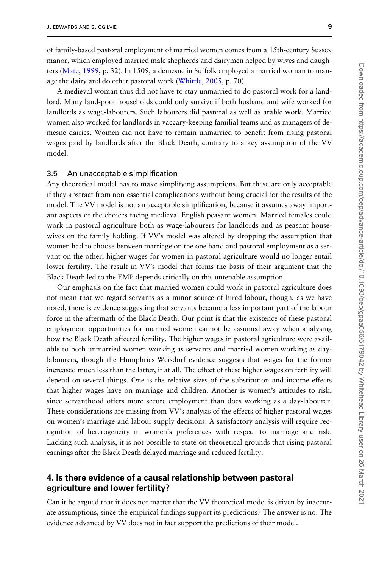of family-based pastoral employment of married women comes from a 15th-century Sussex manor, which employed married male shepherds and dairymen helped by wives and daughters ([Mate, 1999](#page-17-0), p. 32). In 1509, a demesne in Suffolk employed a married woman to manage the dairy and do other pastoral work [\(Whittle, 2005,](#page-18-0) p. 70).

A medieval woman thus did not have to stay unmarried to do pastoral work for a landlord. Many land-poor households could only survive if both husband and wife worked for landlords as wage-labourers. Such labourers did pastoral as well as arable work. Married women also worked for landlords in vaccary-keeping familial teams and as managers of demesne dairies. Women did not have to remain unmarried to benefit from rising pastoral wages paid by landlords after the Black Death, contrary to a key assumption of the VV model.

#### 3.5 An unacceptable simplification

Any theoretical model has to make simplifying assumptions. But these are only acceptable if they abstract from non-essential complications without being crucial for the results of the model. The VV model is not an acceptable simplification, because it assumes away important aspects of the choices facing medieval English peasant women. Married females could work in pastoral agriculture both as wage-labourers for landlords and as peasant housewives on the family holding. If VV's model was altered by dropping the assumption that women had to choose between marriage on the one hand and pastoral employment as a servant on the other, higher wages for women in pastoral agriculture would no longer entail lower fertility. The result in VV's model that forms the basis of their argument that the Black Death led to the EMP depends critically on this untenable assumption.

Our emphasis on the fact that married women could work in pastoral agriculture does not mean that we regard servants as a minor source of hired labour, though, as we have noted, there is evidence suggesting that servants became a less important part of the labour force in the aftermath of the Black Death. Our point is that the existence of these pastoral employment opportunities for married women cannot be assumed away when analysing how the Black Death affected fertility. The higher wages in pastoral agriculture were available to both unmarried women working as servants and married women working as daylabourers, though the Humphries-Weisdorf evidence suggests that wages for the former increased much less than the latter, if at all. The effect of these higher wages on fertility will depend on several things. One is the relative sizes of the substitution and income effects that higher wages have on marriage and children. Another is women's attitudes to risk, since servanthood offers more secure employment than does working as a day-labourer. These considerations are missing from VV's analysis of the effects of higher pastoral wages on women's marriage and labour supply decisions. A satisfactory analysis will require recognition of heterogeneity in women's preferences with respect to marriage and risk. Lacking such analysis, it is not possible to state on theoretical grounds that rising pastoral earnings after the Black Death delayed marriage and reduced fertility.

# 4. Is there evidence of a causal relationship between pastoral agriculture and lower fertility?

Can it be argued that it does not matter that the VV theoretical model is driven by inaccurate assumptions, since the empirical findings support its predictions? The answer is no. The evidence advanced by VV does not in fact support the predictions of their model.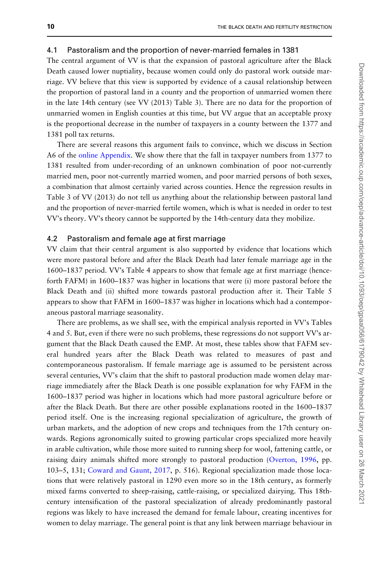#### 4.1 Pastoralism and the proportion of never-married females in 1381

The central argument of VV is that the expansion of pastoral agriculture after the Black Death caused lower nuptiality, because women could only do pastoral work outside marriage. VV believe that this view is supported by evidence of a causal relationship between the proportion of pastoral land in a county and the proportion of unmarried women there in the late 14th century (see VV (2013) Table 3). There are no data for the proportion of unmarried women in English counties at this time, but VV argue that an acceptable proxy is the proportional decrease in the number of taxpayers in a county between the 1377 and 1381 poll tax returns.

There are several reasons this argument fails to convince, which we discuss in Section A6 of the [online Appendix.](https://academic.oup.com/oep/article-lookup/doi/10.1093/oep/gpaa056#supplementary-data) We show there that the fall in taxpayer numbers from 1377 to 1381 resulted from under-recording of an unknown combination of poor not-currently married men, poor not-currently married women, and poor married persons of both sexes, a combination that almost certainly varied across counties. Hence the regression results in Table 3 of VV (2013) do not tell us anything about the relationship between pastoral land and the proportion of never-married fertile women, which is what is needed in order to test VV's theory. VV's theory cannot be supported by the 14th-century data they mobilize.

#### 4.2 Pastoralism and female age at first marriage

VV claim that their central argument is also supported by evidence that locations which were more pastoral before and after the Black Death had later female marriage age in the 1600–1837 period. VV's Table 4 appears to show that female age at first marriage (henceforth FAFM) in 1600–1837 was higher in locations that were (i) more pastoral before the Black Death and (ii) shifted more towards pastoral production after it. Their Table 5 appears to show that FAFM in 1600–1837 was higher in locations which had a contemporaneous pastoral marriage seasonality.

There are problems, as we shall see, with the empirical analysis reported in VV's Tables 4 and 5. But, even if there were no such problems, these regressions do not support VV's argument that the Black Death caused the EMP. At most, these tables show that FAFM several hundred years after the Black Death was related to measures of past and contemporaneous pastoralism. If female marriage age is assumed to be persistent across several centuries, VV's claim that the shift to pastoral production made women delay marriage immediately after the Black Death is one possible explanation for why FAFM in the 1600–1837 period was higher in locations which had more pastoral agriculture before or after the Black Death. But there are other possible explanations rooted in the 1600–1837 period itself. One is the increasing regional specialization of agriculture, the growth of urban markets, and the adoption of new crops and techniques from the 17th century onwards. Regions agronomically suited to growing particular crops specialized more heavily in arable cultivation, while those more suited to running sheep for wool, fattening cattle, or raising dairy animals shifted more strongly to pastoral production [\(Overton, 1996,](#page-17-0) pp. 103–5, 131; [Coward and Gaunt, 2017,](#page-16-0) p. 516). Regional specialization made those locations that were relatively pastoral in 1290 even more so in the 18th century, as formerly mixed farms converted to sheep-raising, cattle-raising, or specialized dairying. This 18thcentury intensification of the pastoral specialization of already predominantly pastoral regions was likely to have increased the demand for female labour, creating incentives for women to delay marriage. The general point is that any link between marriage behaviour in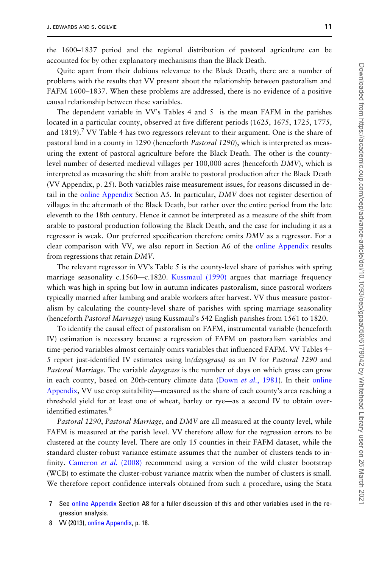the 1600–1837 period and the regional distribution of pastoral agriculture can be accounted for by other explanatory mechanisms than the Black Death.

Quite apart from their dubious relevance to the Black Death, there are a number of problems with the results that VV present about the relationship between pastoralism and FAFM 1600–1837. When these problems are addressed, there is no evidence of a positive causal relationship between these variables.

The dependent variable in VV's Tables 4 and 5 is the mean FAFM in the parishes located in a particular county, observed at five different periods (1625, 1675, 1725, 1775, and  $1819$ ).<sup>7</sup> VV Table 4 has two regressors relevant to their argument. One is the share of pastoral land in a county in 1290 (henceforth Pastoral 1290), which is interpreted as measuring the extent of pastoral agriculture before the Black Death. The other is the countylevel number of deserted medieval villages per 100,000 acres (henceforth DMV), which is interpreted as measuring the shift from arable to pastoral production after the Black Death (VV Appendix, p. 25). Both variables raise measurement issues, for reasons discussed in detail in the [online Appendix](https://academic.oup.com/oep/article-lookup/doi/10.1093/oep/gpaa056#supplementary-data) Section A5. In particular, DMV does not register desertion of villages in the aftermath of the Black Death, but rather over the entire period from the late eleventh to the 18th century. Hence it cannot be interpreted as a measure of the shift from arable to pastoral production following the Black Death, and the case for including it as a regressor is weak. Our preferred specification therefore omits DMV as a regressor. For a clear comparison with VV, we also report in Section A6 of the [online Appendix](https://academic.oup.com/oep/article-lookup/doi/10.1093/oep/gpaa056#supplementary-data) results from regressions that retain DMV.

The relevant regressor in VV's Table 5 is the county-level share of parishes with spring marriage seasonality c.1560—c.1820. [Kussmaul \(1990\)](#page-17-0) argues that marriage frequency which was high in spring but low in autumn indicates pastoralism, since pastoral workers typically married after lambing and arable workers after harvest. VV thus measure pastoralism by calculating the county-level share of parishes with spring marriage seasonality (henceforth Pastoral Marriage) using Kussmaul's 542 English parishes from 1561 to 1820.

To identify the causal effect of pastoralism on FAFM, instrumental variable (henceforth IV) estimation is necessary because a regression of FAFM on pastoralism variables and time-period variables almost certainly omits variables that influenced FAFM. VV Tables 4– 5 report just-identified IV estimates using  $\ln(daysgrass)$  as an IV for Pastoral 1290 and Pastoral Marriage. The variable *daysgrass* is the number of days on which grass can grow in each county, based on 20th-century climate data (Down *et al.*[, 1981](#page-16-0)). In their [online](https://academic.oup.com/oep/article-lookup/doi/10.1093/oep/gpaa056#supplementary-data) [Appendix](https://academic.oup.com/oep/article-lookup/doi/10.1093/oep/gpaa056#supplementary-data), VV use crop suitability—measured as the share of each county's area reaching a threshold yield for at least one of wheat, barley or rye—as a second IV to obtain overidentified estimates.<sup>8</sup>

Pastoral 1290, Pastoral Marriage, and DMV are all measured at the county level, while FAFM is measured at the parish level. VV therefore allow for the regression errors to be clustered at the county level. There are only 15 counties in their FAFM dataset, while the standard cluster-robust variance estimate assumes that the number of clusters tends to in-finity. [Cameron](#page-16-0) et al. (2008) recommend using a version of the wild cluster bootstrap (WCB) to estimate the cluster-robust variance matrix when the number of clusters is small. We therefore report confidence intervals obtained from such a procedure, using the Stata

8 VV (2013), [online Appendix,](https://academic.oup.com/oep/article-lookup/doi/10.1093/oep/gpaa056#supplementary-data) p. 18.

<sup>7</sup> See [online Appendix](https://academic.oup.com/oep/article-lookup/doi/10.1093/oep/gpaa056#supplementary-data) Section A8 for a fuller discussion of this and other variables used in the regression analysis.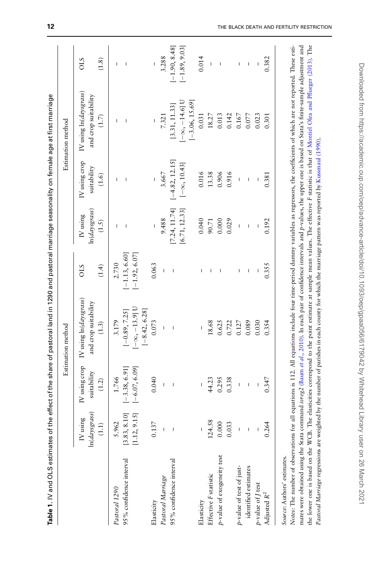<span id="page-11-0"></span>

|                            |                                                                                                                                                                                                                                                                                                                                                                                  |                              | Estimation method                              |                          |                            |                                                                                                                                                                                                                                                                                                                                                                                  | Estimation method                              |                          |
|----------------------------|----------------------------------------------------------------------------------------------------------------------------------------------------------------------------------------------------------------------------------------------------------------------------------------------------------------------------------------------------------------------------------|------------------------------|------------------------------------------------|--------------------------|----------------------------|----------------------------------------------------------------------------------------------------------------------------------------------------------------------------------------------------------------------------------------------------------------------------------------------------------------------------------------------------------------------------------|------------------------------------------------|--------------------------|
|                            | ln(days grass)<br>IV using                                                                                                                                                                                                                                                                                                                                                       | IV using crop<br>suitability | IV using ln(daysgrass)<br>and crop suitability | STO                      | ln(days grass)<br>IV using | IV using crop<br>suitability                                                                                                                                                                                                                                                                                                                                                     | IV using ln(daysgrass)<br>and crop suitability | STO                      |
|                            | $(\mathbf{1.1})$                                                                                                                                                                                                                                                                                                                                                                 | (1.2)                        | (1.3)                                          | (1.4)                    | (1.5)                      | (1.6)                                                                                                                                                                                                                                                                                                                                                                            | (1.7)                                          | (1.8)                    |
| Pastoral 1290              | 5.962                                                                                                                                                                                                                                                                                                                                                                            | 1.766                        | 3.179                                          | 2.730                    | I                          | т                                                                                                                                                                                                                                                                                                                                                                                | I                                              | L                        |
| 95% confidence interval    | [3.83, 8.10]                                                                                                                                                                                                                                                                                                                                                                     | $[-3.38, 6.91]$              | $[-0.89, 7.25]$                                | $[-1.13, 6.60]$          | I                          |                                                                                                                                                                                                                                                                                                                                                                                  | $\overline{1}$                                 | I                        |
|                            | [1.12, 9.15]                                                                                                                                                                                                                                                                                                                                                                     | $[-6.07, 6.09]$              | $[-\infty, -13.9]$ U<br>$[-8.42, 6.28]$        | $[-1.92, 6.07]$          |                            |                                                                                                                                                                                                                                                                                                                                                                                  |                                                |                          |
| Elasticity                 | 0.137                                                                                                                                                                                                                                                                                                                                                                            | 0.040                        | 0.073                                          | 0.063                    | I                          |                                                                                                                                                                                                                                                                                                                                                                                  | $\mathbf I$                                    | $\mathbf{I}$             |
| Pastoral Marriage          | $\overline{1}$                                                                                                                                                                                                                                                                                                                                                                   | $\mathbf{I}$                 | I                                              | $\mathbf{I}$             | 9.488                      | 3.667                                                                                                                                                                                                                                                                                                                                                                            | 7.321                                          | 3.288                    |
| 95% confidence interval    |                                                                                                                                                                                                                                                                                                                                                                                  | $\mathbf{I}$                 | $\overline{\phantom{a}}$                       | $\overline{\phantom{a}}$ | [7.24, 11.74]              |                                                                                                                                                                                                                                                                                                                                                                                  |                                                | $[-1.90, 8.48]$          |
|                            | $\bar{1}$                                                                                                                                                                                                                                                                                                                                                                        |                              |                                                |                          |                            | $-4.82, 12.15$                                                                                                                                                                                                                                                                                                                                                                   | [3.31, 11.33]                                  | $[-1.89, 9.03]$          |
|                            |                                                                                                                                                                                                                                                                                                                                                                                  |                              |                                                |                          | [6.71, 12.33]              | $[-\infty, 10.43]$                                                                                                                                                                                                                                                                                                                                                               | $[-\infty, -14.6]$ U<br>$[-3.06, 15.69]$       |                          |
| Elasticity                 |                                                                                                                                                                                                                                                                                                                                                                                  |                              |                                                | T                        | 0.040                      | 0.016                                                                                                                                                                                                                                                                                                                                                                            | 0.031                                          | 0.014                    |
| Effective F statistic      | 124.58                                                                                                                                                                                                                                                                                                                                                                           | 44.23                        | 18.68                                          | $\overline{1}$           | 90.71                      | 13.38                                                                                                                                                                                                                                                                                                                                                                            | 18.27                                          | $\overline{\phantom{a}}$ |
| p-value of exogeneity test | 0.000                                                                                                                                                                                                                                                                                                                                                                            | 0.295                        | 0.625                                          | I                        | 0.000                      | 0.906                                                                                                                                                                                                                                                                                                                                                                            | 0.013                                          | I                        |
|                            | 0.033                                                                                                                                                                                                                                                                                                                                                                            | 0.338                        | 0.722                                          |                          | 0.029                      | 0.916                                                                                                                                                                                                                                                                                                                                                                            | 0.142                                          |                          |
| p-value of test of just-   | $\begin{array}{c} \rule{0pt}{2.5ex} \rule{0pt}{2.5ex} \rule{0pt}{2.5ex} \rule{0pt}{2.5ex} \rule{0pt}{2.5ex} \rule{0pt}{2.5ex} \rule{0pt}{2.5ex} \rule{0pt}{2.5ex} \rule{0pt}{2.5ex} \rule{0pt}{2.5ex} \rule{0pt}{2.5ex} \rule{0pt}{2.5ex} \rule{0pt}{2.5ex} \rule{0pt}{2.5ex} \rule{0pt}{2.5ex} \rule{0pt}{2.5ex} \rule{0pt}{2.5ex} \rule{0pt}{2.5ex} \rule{0pt}{2.5ex} \rule{0$ | $\mathbf{I}$                 | 0.127                                          | I                        | $\sf I$                    | $\begin{array}{c} \rule{0pt}{2.5ex} \rule{0pt}{2.5ex} \rule{0pt}{2.5ex} \rule{0pt}{2.5ex} \rule{0pt}{2.5ex} \rule{0pt}{2.5ex} \rule{0pt}{2.5ex} \rule{0pt}{2.5ex} \rule{0pt}{2.5ex} \rule{0pt}{2.5ex} \rule{0pt}{2.5ex} \rule{0pt}{2.5ex} \rule{0pt}{2.5ex} \rule{0pt}{2.5ex} \rule{0pt}{2.5ex} \rule{0pt}{2.5ex} \rule{0pt}{2.5ex} \rule{0pt}{2.5ex} \rule{0pt}{2.5ex} \rule{0$ | 0.167                                          | I                        |
| identified estimates       | I                                                                                                                                                                                                                                                                                                                                                                                | I                            | 0.089                                          | I                        | I                          |                                                                                                                                                                                                                                                                                                                                                                                  | 0.077                                          | I                        |
| $p$ -value of $J$ test     |                                                                                                                                                                                                                                                                                                                                                                                  |                              | 0.030                                          |                          |                            |                                                                                                                                                                                                                                                                                                                                                                                  | 0.023                                          |                          |
| Adjusted $R^2$             | 0.264                                                                                                                                                                                                                                                                                                                                                                            | 0.347                        | 0.354                                          | 0.355                    | 0.192                      | 0.381                                                                                                                                                                                                                                                                                                                                                                            | 0.301                                          | 0.382                    |

the lower one is based on the WCB. The elasticities correspond to the point estimate at sample mean values. The effective F statistic is that of Montiel Olea and [Pflueger](#page-17-0) (2013). The

the lower one is based on the WCB. The elasticities correspond to the point estimate at sample mean values. The effective F statistic is that of Montiel Olea and Pflueger (2013). The

Pastoral Marriage regressions are weighted by the number of parishes in each county for which the marriage pattern was reported by [Kussmaul](#page-17-0) (1990).

Pastoral Marriage regressions are weighted by the number of parishes in each county for which the marriage pattern was reported by Kussmaul (1990).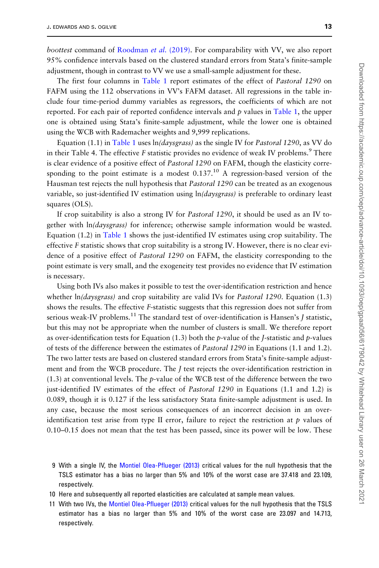boottest command of [Roodman](#page-18-0) et al. (2019). For comparability with VV, we also report 95% confidence intervals based on the clustered standard errors from Stata's finite-sample adjustment, though in contrast to VV we use a small-sample adjustment for these.

The first four columns in [Table 1](#page-11-0) report estimates of the effect of Pastoral 1290 on FAFM using the 112 observations in VV's FAFM dataset. All regressions in the table include four time-period dummy variables as regressors, the coefficients of which are not reported. For each pair of reported confidence intervals and  $p$  values in [Table 1,](#page-11-0) the upper one is obtained using Stata's finite-sample adjustment, while the lower one is obtained using the WCB with Rademacher weights and 9,999 replications.

Equation (1.1) in [Table 1](#page-11-0) uses  $\ln$  *(daysgrass)* as the single IV for *Pastoral* 1290, as VV do in their Table 4. The effective  $F$  statistic provides no evidence of weak IV problems.<sup>9</sup> There is clear evidence of a positive effect of *Pastoral* 1290 on FAFM, though the elasticity corresponding to the point estimate is a modest  $0.137<sup>10</sup>$  A regression-based version of the Hausman test rejects the null hypothesis that Pastoral 1290 can be treated as an exogenous variable, so just-identified IV estimation using  $ln(daysgrass)$  is preferable to ordinary least squares (OLS).

If crop suitability is also a strong IV for *Pastoral 1290*, it should be used as an IV together with ln(daysgrass) for inference; otherwise sample information would be wasted. Equation  $(1.2)$  in [Table 1](#page-11-0) shows the just-identified IV estimates using crop suitability. The effective F statistic shows that crop suitability is a strong IV. However, there is no clear evidence of a positive effect of Pastoral 1290 on FAFM, the elasticity corresponding to the point estimate is very small, and the exogeneity test provides no evidence that IV estimation is necessary.

Using both IVs also makes it possible to test the over-identification restriction and hence whether  $ln(daysgrass)$  and crop suitability are valid IVs for *Pastoral 1290*. Equation (1.3) shows the results. The effective F-statistic suggests that this regression does not suffer from serious weak-IV problems.<sup>11</sup> The standard test of over-identification is Hansen's *J* statistic, but this may not be appropriate when the number of clusters is small. We therefore report as over-identification tests for Equation (1.3) both the p-value of the *J*-statistic and p-values of tests of the difference between the estimates of Pastoral 1290 in Equations (1.1 and 1.2). The two latter tests are based on clustered standard errors from Stata's finite-sample adjustment and from the WCB procedure. The J test rejects the over-identification restriction in  $(1.3)$  at conventional levels. The p-value of the WCB test of the difference between the two just-identified IV estimates of the effect of Pastoral 1290 in Equations (1.1 and 1.2) is 0.089, though it is 0.127 if the less satisfactory Stata finite-sample adjustment is used. In any case, because the most serious consequences of an incorrect decision in an overidentification test arise from type II error, failure to reject the restriction at  $p$  values of 0.10–0.15 does not mean that the test has been passed, since its power will be low. These

9 With a single IV, the [Montiel Olea-Pflueger \(2013\)](#page-17-0) critical values for the null hypothesis that the TSLS estimator has a bias no larger than 5% and 10% of the worst case are 37.418 and 23.109, respectively.

- 10 Here and subsequently all reported elasticities are calculated at sample mean values.
- 11 With two IVs, the [Montiel Olea-Pflueger \(2013\)](#page-17-0) critical values for the null hypothesis that the TSLS estimator has a bias no larger than 5% and 10% of the worst case are 23.097 and 14.713, respectively.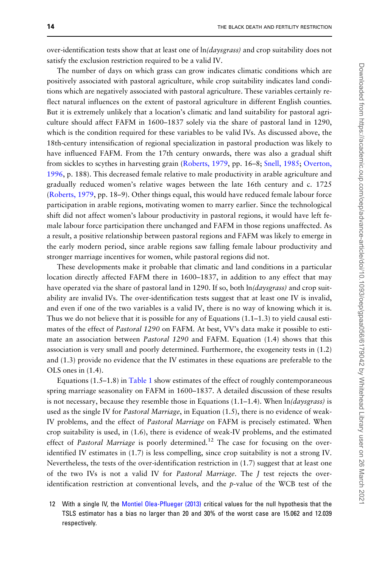over-identification tests show that at least one of  $ln \frac{2y}{3}$  and crop suitability does not satisfy the exclusion restriction required to be a valid IV.

The number of days on which grass can grow indicates climatic conditions which are positively associated with pastoral agriculture, while crop suitability indicates land conditions which are negatively associated with pastoral agriculture. These variables certainly reflect natural influences on the extent of pastoral agriculture in different English counties. But it is extremely unlikely that a location's climatic and land suitability for pastoral agriculture should affect FAFM in 1600–1837 solely via the share of pastoral land in 1290, which is the condition required for these variables to be valid IVs. As discussed above, the 18th-century intensification of regional specialization in pastoral production was likely to have influenced FAFM. From the 17th century onwards, there was also a gradual shift from sickles to scythes in harvesting grain ([Roberts, 1979](#page-18-0), pp. 16–8; [Snell, 1985;](#page-18-0) [Overton,](#page-17-0) [1996](#page-17-0), p. 188). This decreased female relative to male productivity in arable agriculture and gradually reduced women's relative wages between the late 16th century and c. 1725 [\(Roberts, 1979](#page-18-0), pp. 18–9). Other things equal, this would have reduced female labour force participation in arable regions, motivating women to marry earlier. Since the technological shift did not affect women's labour productivity in pastoral regions, it would have left female labour force participation there unchanged and FAFM in those regions unaffected. As a result, a positive relationship between pastoral regions and FAFM was likely to emerge in the early modern period, since arable regions saw falling female labour productivity and stronger marriage incentives for women, while pastoral regions did not.

These developments make it probable that climatic and land conditions in a particular location directly affected FAFM there in 1600–1837, in addition to any effect that may have operated via the share of pastoral land in 1290. If so, both  $\ln \frac{2q}{\text{s}}$  and crop suitability are invalid IVs. The over-identification tests suggest that at least one IV is invalid, and even if one of the two variables is a valid IV, there is no way of knowing which it is. Thus we do not believe that it is possible for any of Equations  $(1.1-1.3)$  to yield causal estimates of the effect of Pastoral 1290 on FAFM. At best, VV's data make it possible to estimate an association between *Pastoral* 1290 and FAFM. Equation (1.4) shows that this association is very small and poorly determined. Furthermore, the exogeneity tests in (1.2) and (1.3) provide no evidence that the IV estimates in these equations are preferable to the OLS ones in (1.4).

Equations  $(1.5-1.8)$  in [Table 1](#page-11-0) show estimates of the effect of roughly contemporaneous spring marriage seasonality on FAFM in 1600–1837. A detailed discussion of these results is not necessary, because they resemble those in Equations (1.1–1.4). When  $ln(daysgrass)$  is used as the single IV for *Pastoral Marriage*, in Equation (1.5), there is no evidence of weak-IV problems, and the effect of Pastoral Marriage on FAFM is precisely estimated. When crop suitability is used, in (1.6), there is evidence of weak-IV problems, and the estimated effect of Pastoral Marriage is poorly determined.<sup>12</sup> The case for focusing on the overidentified IV estimates in (1.7) is less compelling, since crop suitability is not a strong IV. Nevertheless, the tests of the over-identification restriction in (1.7) suggest that at least one of the two IVs is not a valid IV for Pastoral Marriage. The J test rejects the overidentification restriction at conventional levels, and the p-value of the WCB test of the

12 With a single IV, the [Montiel Olea-Pflueger \(2013\)](#page-17-0) critical values for the null hypothesis that the TSLS estimator has a bias no larger than 20 and 30% of the worst case are 15.062 and 12.039 respectively.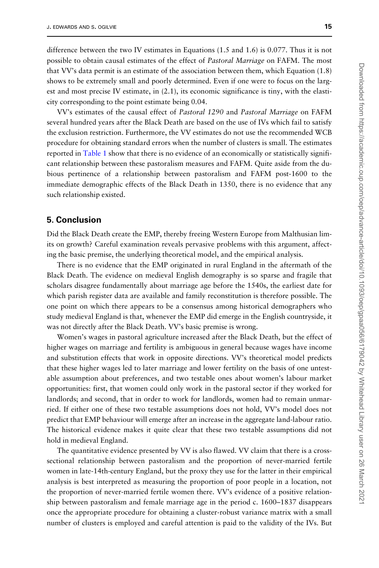difference between the two IV estimates in Equations (1.5 and 1.6) is 0.077. Thus it is not possible to obtain causal estimates of the effect of Pastoral Marriage on FAFM. The most that VV's data permit is an estimate of the association between them, which Equation (1.8) shows to be extremely small and poorly determined. Even if one were to focus on the largest and most precise IV estimate, in (2.1), its economic significance is tiny, with the elasticity corresponding to the point estimate being 0.04.

VV's estimates of the causal effect of Pastoral 1290 and Pastoral Marriage on FAFM several hundred years after the Black Death are based on the use of IVs which fail to satisfy the exclusion restriction. Furthermore, the VV estimates do not use the recommended WCB procedure for obtaining standard errors when the number of clusters is small. The estimates reported in [Table 1](#page-11-0) show that there is no evidence of an economically or statistically significant relationship between these pastoralism measures and FAFM. Quite aside from the dubious pertinence of a relationship between pastoralism and FAFM post-1600 to the immediate demographic effects of the Black Death in 1350, there is no evidence that any such relationship existed.

## 5. Conclusion

Did the Black Death create the EMP, thereby freeing Western Europe from Malthusian limits on growth? Careful examination reveals pervasive problems with this argument, affecting the basic premise, the underlying theoretical model, and the empirical analysis.

There is no evidence that the EMP originated in rural England in the aftermath of the Black Death. The evidence on medieval English demography is so sparse and fragile that scholars disagree fundamentally about marriage age before the 1540s, the earliest date for which parish register data are available and family reconstitution is therefore possible. The one point on which there appears to be a consensus among historical demographers who study medieval England is that, whenever the EMP did emerge in the English countryside, it was not directly after the Black Death. VV's basic premise is wrong.

Women's wages in pastoral agriculture increased after the Black Death, but the effect of higher wages on marriage and fertility is ambiguous in general because wages have income and substitution effects that work in opposite directions. VV's theoretical model predicts that these higher wages led to later marriage and lower fertility on the basis of one untestable assumption about preferences, and two testable ones about women's labour market opportunities: first, that women could only work in the pastoral sector if they worked for landlords; and second, that in order to work for landlords, women had to remain unmarried. If either one of these two testable assumptions does not hold, VV's model does not predict that EMP behaviour will emerge after an increase in the aggregate land-labour ratio. The historical evidence makes it quite clear that these two testable assumptions did not hold in medieval England.

The quantitative evidence presented by VV is also flawed. VV claim that there is a crosssectional relationship between pastoralism and the proportion of never-married fertile women in late-14th-century England, but the proxy they use for the latter in their empirical analysis is best interpreted as measuring the proportion of poor people in a location, not the proportion of never-married fertile women there. VV's evidence of a positive relationship between pastoralism and female marriage age in the period c. 1600–1837 disappears once the appropriate procedure for obtaining a cluster-robust variance matrix with a small number of clusters is employed and careful attention is paid to the validity of the IVs. But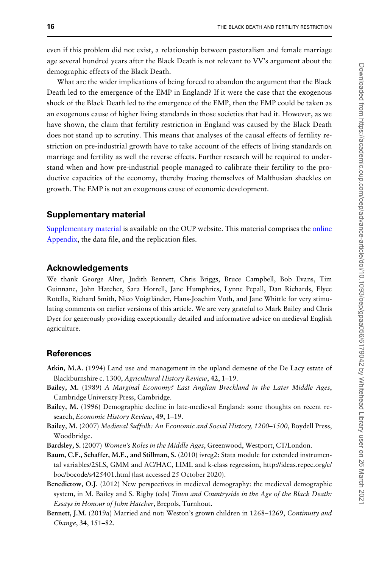<span id="page-15-0"></span>even if this problem did not exist, a relationship between pastoralism and female marriage age several hundred years after the Black Death is not relevant to VV's argument about the demographic effects of the Black Death.

What are the wider implications of being forced to abandon the argument that the Black Death led to the emergence of the EMP in England? If it were the case that the exogenous shock of the Black Death led to the emergence of the EMP, then the EMP could be taken as an exogenous cause of higher living standards in those societies that had it. However, as we have shown, the claim that fertility restriction in England was caused by the Black Death does not stand up to scrutiny. This means that analyses of the causal effects of fertility restriction on pre-industrial growth have to take account of the effects of living standards on marriage and fertility as well the reverse effects. Further research will be required to understand when and how pre-industrial people managed to calibrate their fertility to the productive capacities of the economy, thereby freeing themselves of Malthusian shackles on growth. The EMP is not an exogenous cause of economic development.

# Supplementary material

[Supplementary material](https://academic.oup.com/oep/article-lookup/doi/10.1093/oep/gpaa056#supplementary-data) is available on the OUP website. This material comprises the [online](https://academic.oup.com/oep/article-lookup/doi/10.1093/oep/gpaa056#supplementary-data) [Appendix](https://academic.oup.com/oep/article-lookup/doi/10.1093/oep/gpaa056#supplementary-data), the data file, and the replication files.

## Acknowledgements

We thank George Alter, Judith Bennett, Chris Briggs, Bruce Campbell, Bob Evans, Tim Guinnane, John Hatcher, Sara Horrell, Jane Humphries, Lynne Pepall, Dan Richards, Elyce Rotella, Richard Smith, Nico Voigtländer, Hans-Joachim Voth, and Jane Whittle for very stimulating comments on earlier versions of this article. We are very grateful to Mark Bailey and Chris Dyer for generously providing exceptionally detailed and informative advice on medieval English agriculture.

# **References**

- Atkin, M.A. (1994) Land use and management in the upland demesne of the De Lacy estate of Blackburnshire c. 1300, Agricultural History Review, 42, 1-19.
- Bailey, M. (1989) A Marginal Economy? East Anglian Breckland in the Later Middle Ages, Cambridge University Press, Cambridge.
- Bailey, M. (1996) Demographic decline in late-medieval England: some thoughts on recent research, Economic History Review, 49, 1-19.
- Bailey, M. (2007) Medieval Suffolk: An Economic and Social History, 1200–1500, Boydell Press, Woodbridge.
- Bardsley, S. (2007) Women's Roles in the Middle Ages, Greenwood, Westport, CT/London.
- Baum, C.F., Schaffer, M.E., and Stillman, S. (2010) ivreg2: Stata module for extended instrumental variables/2SLS, GMM and AC/HAC, LIML and k-class regression, [http://ideas.repec.org/c/](http://ideas.repec.org/c/boc/bocode/s425401.html) [boc/bocode/s425401.html](http://ideas.repec.org/c/boc/bocode/s425401.html) (last accessed 25 October 2020).
- Benedictow, O.J. (2012) New perspectives in medieval demography: the medieval demographic system, in M. Bailey and S. Rigby (eds) Town and Countryside in the Age of the Black Death: Essays in Honour of John Hatcher, Brepols, Turnhout.
- Bennett, J.M. (2019a) Married and not: Weston's grown children in 1268–1269, Continuity and Change, 34, 151–82.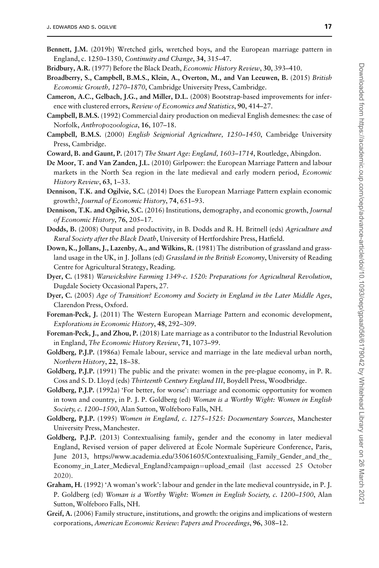- <span id="page-16-0"></span>Bennett, J.M. (2019b) Wretched girls, wretched boys, and the European marriage pattern in England, c. 1250–1350, Continuity and Change, 34, 315–47.
- Bridbury, A.R. (1977) Before the Black Death, *Economic History Review*, 30, 393-410.
- Broadberry, S., Campbell, B.M.S., Klein, A., Overton, M., and Van Leeuwen, B. (2015) British Economic Growth, 1270–1870, Cambridge University Press, Cambridge.
- Cameron, A.C., Gelbach, J.G., and Miller, D.L. (2008) Bootstrap-based improvements for inference with clustered errors, Review of Economics and Statistics, 90, 414–27.
- Campbell, B.M.S. (1992) Commercial dairy production on medieval English demesnes: the case of Norfolk, Anthropozoologica, 16, 107–18.
- Campbell, B.M.S. (2000) English Seigniorial Agriculture, 1250–1450, Cambridge University Press, Cambridge.
- Coward, B. and Gaunt, P. (2017) The Stuart Age: England, 1603–1714, Routledge, Abingdon.
- De Moor, T. and Van Zanden, J.L. (2010) Girlpower: the European Marriage Pattern and labour markets in the North Sea region in the late medieval and early modern period, Economic History Review, 63, 1–33.
- Dennison, T.K. and Ogilvie, S.C. (2014) Does the European Marriage Pattern explain economic growth?, Journal of Economic History, 74, 651–93.
- Dennison, T.K. and Ogilvie, S.C. (2016) Institutions, demography, and economic growth, *Journal* of Economic History, 76, 205–17.
- Dodds, B. (2008) Output and productivity, in B. Dodds and R. H. Britnell (eds) Agriculture and Rural Society after the Black Death, University of Hertfordshire Press, Hatfield.
- Down, K., Jollans, J., Lazenby, A., and Wilkins, R. (1981) The distribution of grassland and grassland usage in the UK, in J. Jollans (ed) Grassland in the British Economy, University of Reading Centre for Agricultural Strategy, Reading.
- Dyer, C. (1981) Warwickshire Farming 1349-c. 1520: Preparations for Agricultural Revolution, Dugdale Society Occasional Papers, 27.
- Dyer, C. (2005) Age of Transition? Economy and Society in England in the Later Middle Ages, Clarendon Press, Oxford.
- Foreman-Peck, J. (2011) The Western European Marriage Pattern and economic development, Explorations in Economic History, 48, 292–309.
- Foreman-Peck, J., and Zhou, P. (2018) Late marriage as a contributor to the Industrial Revolution in England, The Economic History Review, 71, 1073–99.
- Goldberg, P.J.P. (1986a) Female labour, service and marriage in the late medieval urban north, Northern History, 22, 18–38.
- Goldberg, P.J.P. (1991) The public and the private: women in the pre-plague economy, in P. R. Coss and S. D. Lloyd (eds) Thirteenth Century England III, Boydell Press, Woodbridge.
- Goldberg, P.J.P. (1992a) 'For better, for worse': marriage and economic opportunity for women in town and country, in P. J. P. Goldberg (ed) Woman is a Worthy Wight: Women in English Society, c. 1200–1500, Alan Sutton, Wolfeboro Falls, NH.
- Goldberg, P.J.P. (1995) Women in England, c. 1275–1525: Documentary Sources, Manchester University Press, Manchester.
- Goldberg, P.J.P. (2013) Contextualising family, gender and the economy in later medieval England, Revised version of paper delivered at Ecole Normale Supérieure Conference, Paris, June 2013, [https://www.academia.edu/35061605/Contextualising\\_Family\\_Gender\\_and\\_the\\_](https://www.academia.edu/35061605/Contextualising_Family_Gender_and_the_Economy_in_Later_Medieval_England?campaign=upload_email) [Economy\\_in\\_Later\\_Medieval\\_England?campaign](https://www.academia.edu/35061605/Contextualising_Family_Gender_and_the_Economy_in_Later_Medieval_England?campaign=upload_email)=[upload\\_email](https://www.academia.edu/35061605/Contextualising_Family_Gender_and_the_Economy_in_Later_Medieval_England?campaign=upload_email) (last accessed 25 October 2020).
- Graham, H. (1992) 'A woman's work': labour and gender in the late medieval countryside, in P. J. P. Goldberg (ed) Woman is a Worthy Wight: Women in English Society, c. 1200–1500, Alan Sutton, Wolfeboro Falls, NH.
- Greif, A. (2006) Family structure, institutions, and growth: the origins and implications of western corporations, American Economic Review: Papers and Proceedings, 96, 308–12.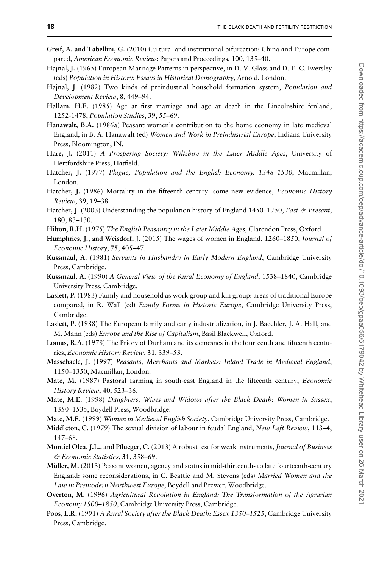- <span id="page-17-0"></span>Greif, A. and Tabellini, G. (2010) Cultural and institutional bifurcation: China and Europe compared, American Economic Review: Papers and Proceedings, 100, 135–40.
- Hajnal, J. (1965) European Marriage Patterns in perspective, in D. V. Glass and D. E. C. Eversley (eds) Population in History: Essays in Historical Demography, Arnold, London.
- Hajnal, J. (1982) Two kinds of preindustrial household formation system, *Population and* Development Review, 8, 449–94.
- Hallam, H.E. (1985) Age at first marriage and age at death in the Lincolnshire fenland, 1252-1478, Population Studies, 39, 55–69.
- Hanawalt, B.A. (1986a) Peasant women's contribution to the home economy in late medieval England, in B. A. Hanawalt (ed) Women and Work in Preindustrial Europe, Indiana University Press, Bloomington, IN.
- Hare, J. (2011) A Prospering Society: Wiltshire in the Later Middle Ages, University of Hertfordshire Press, Hatfield.
- Hatcher, J. (1977) Plague, Population and the English Economy, 1348-1530, Macmillan, London.
- Hatcher, J. (1986) Mortality in the fifteenth century: some new evidence, *Economic History* Review, 39, 19–38.
- Hatcher, J. (2003) Understanding the population history of England 1450–1750, Past & Present, 180, 83–130.
- Hilton, R.H. (1975) The English Peasantry in the Later Middle Ages, Clarendon Press, Oxford.
- Humphries, J., and Weisdorf, J. (2015) The wages of women in England, 1260–1850, Journal of Economic History, 75, 405–47.
- Kussmaul, A. (1981) Servants in Husbandry in Early Modern England, Cambridge University Press, Cambridge.
- Kussmaul, A. (1990) A General View of the Rural Economy of England, 1538–1840, Cambridge University Press, Cambridge.
- Laslett, P. (1983) Family and household as work group and kin group: areas of traditional Europe compared, in R. Wall (ed) Family Forms in Historic Europe, Cambridge University Press, Cambridge.
- Laslett, P. (1988) The European family and early industrialization, in J. Baechler, J. A. Hall, and M. Mann (eds) Europe and the Rise of Capitalism, Basil Blackwell, Oxford.
- Lomas, R.A. (1978) The Priory of Durham and its demesnes in the fourteenth and fifteenth centuries, Economic History Review, 31, 339–53.
- Masschaele, J. (1997) Peasants, Merchants and Markets: Inland Trade in Medieval England, 1150–1350, Macmillan, London.
- Mate, M. (1987) Pastoral farming in south-east England in the fifteenth century, *Economic* History Review, 40, 523–36.
- Mate, M.E. (1998) Daughters, Wives and Widows after the Black Death: Women in Sussex, 1350–1535, Boydell Press, Woodbridge.
- Mate, M.E. (1999) Women in Medieval English Society, Cambridge University Press, Cambridge.
- Middleton, C. (1979) The sexual division of labour in feudal England, New Left Review, 113-4, 147–68.
- Montiel Olea, J.L., and Pflueger, C. (2013) A robust test for weak instruments, Journal of Business & Economic Statistics, 31, 358–69.
- Müller, M. (2013) Peasant women, agency and status in mid-thirteenth- to late fourteenth-century England: some reconsiderations, in C. Beattie and M. Stevens (eds) Married Women and the Law in Premodern Northwest Europe, Boydell and Brewer, Woodbridge.
- Overton, M. (1996) Agricultural Revolution in England: The Transformation of the Agrarian Economy 1500–1850, Cambridge University Press, Cambridge.
- Poos, L.R. (1991) A Rural Society after the Black Death: Essex 1350-1525, Cambridge University Press, Cambridge.